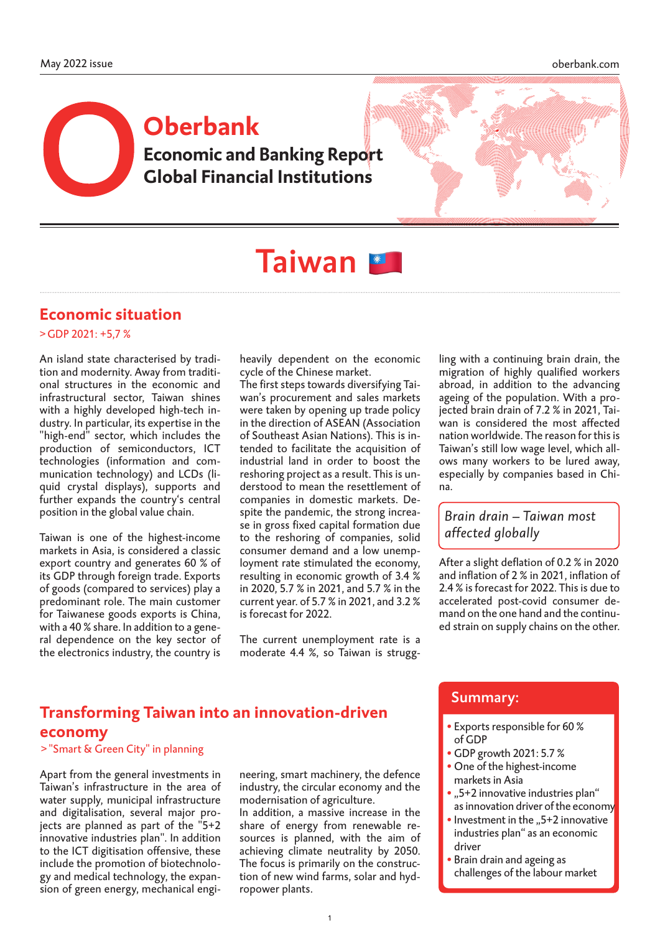# **Economic and Banking Report Global Financial Institutions Oberbank**



# Taiwan **\***

### **Economic situation**

#### >GDP 2021: +5,7 %

An island state characterised by tradition and modernity. Away from traditional structures in the economic and infrastructural sector, Taiwan shines with a highly developed high-tech industry. In particular, its expertise in the "high-end" sector, which includes the production of semiconductors, ICT technologies (information and communication technology) and LCDs (liquid crystal displays), supports and further expands the country's central position in the global value chain.

Taiwan is one of the highest-income markets in Asia, is considered a classic export country and generates 60 % of its GDP through foreign trade. Exports of goods (compared to services) play a predominant role. The main customer for Taiwanese goods exports is China, with a 40 % share. In addition to a general dependence on the key sector of the electronics industry, the country is

heavily dependent on the economic cycle of the Chinese market.

The first steps towards diversifying Taiwan's procurement and sales markets were taken by opening up trade policy in the direction of ASEAN (Association of Southeast Asian Nations). This is intended to facilitate the acquisition of industrial land in order to boost the reshoring project as a result. This is understood to mean the resettlement of companies in domestic markets. Despite the pandemic, the strong increase in gross fixed capital formation due to the reshoring of companies, solid consumer demand and a low unemployment rate stimulated the economy, resulting in economic growth of 3.4 % in 2020, 5.7 % in 2021, and 5.7 % in the current year. of 5.7 % in 2021, and 3.2 % is forecast for 2022.

The current unemployment rate is a moderate 4.4 %, so Taiwan is strugg-

ling with a continuing brain drain, the migration of highly qualified workers abroad, in addition to the advancing ageing of the population. With a projected brain drain of 7.2 % in 2021, Taiwan is considered the most affected nation worldwide. The reason for this is Taiwan's still low wage level, which allows many workers to be lured away, especially by companies based in China.

#### *Brain drain – Taiwan most affected globally*

After a slight deflation of 0.2 % in 2020 and inflation of 2 % in 2021, inflation of 2.4 % is forecast for 2022. This is due to accelerated post-covid consumer demand on the one hand and the continued strain on supply chains on the other.

# **Transforming Taiwan into an innovation-driven economy**

>"Smart & Green City" in planning

Apart from the general investments in Taiwan's infrastructure in the area of water supply, municipal infrastructure and digitalisation, several major projects are planned as part of the "5+2 innovative industries plan". In addition to the ICT digitisation offensive, these include the promotion of biotechnology and medical technology, the expansion of green energy, mechanical engineering, smart machinery, the defence industry, the circular economy and the modernisation of agriculture.

In addition, a massive increase in the share of energy from renewable resources is planned, with the aim of achieving climate neutrality by 2050. The focus is primarily on the construction of new wind farms, solar and hydropower plants.

#### Summary:

í

- Exports responsible for 60 % of GDP
- •GDP growth 2021: 5.7 %
- One of the highest-income markets in Asia
- "5+2 innovative industries plan" as innovation driver of the economy
- Investment in the  $.5+2$  innovative industries plan" as an economic driver
- Brain drain and ageing as challenges of the labour market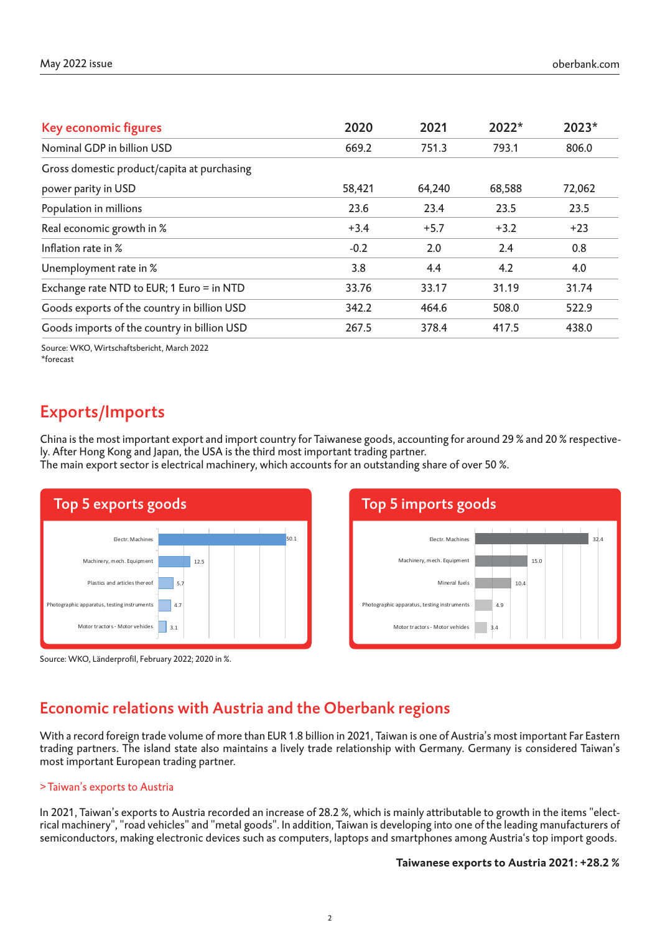| Key economic figures                        | 2020   | 2021   | $2022*$ | 2023*  |
|---------------------------------------------|--------|--------|---------|--------|
| Nominal GDP in billion USD                  | 669.2  | 751.3  | 793.1   | 806.0  |
| Gross domestic product/capita at purchasing |        |        |         |        |
| power parity in USD                         | 58,421 | 64,240 | 68,588  | 72,062 |
| Population in millions                      | 23.6   | 23.4   | 23.5    | 23.5   |
| Real economic growth in %                   | $+3.4$ | $+5.7$ | $+3.2$  | $+23$  |
| Inflation rate in %                         | $-0.2$ | 2.0    | 2.4     | 0.8    |
| Unemployment rate in %                      | 3.8    | 4.4    | 4.2     | 4.0    |
| Exchange rate NTD to EUR; 1 Euro = in NTD   | 33.76  | 33.17  | 31.19   | 31.74  |
| Goods exports of the country in billion USD | 342.2  | 464.6  | 508.0   | 522.9  |
| Goods imports of the country in billion USD | 267.5  | 378.4  | 417.5   | 438.0  |
|                                             |        |        |         |        |

Source: WKO, Wirtschaftsbericht, March 2022 \*forecast

# Exports/Imports

China is the most important export and import country for Taiwanese goods, accounting for around 29 % and 20 % respectively. After Hong Kong and Japan, the USA is the third most important trading partner.

The main export sector is electrical machinery, which accounts for an outstanding share of over 50 %.







## Economic relations with Austria and the Oberbank regions

With a record foreign trade volume of more than EUR 1.8 billion in 2021, Taiwan is one of Austria's most important Far Eastern trading partners. The island state also maintains a lively trade relationship with Germany. Germany is considered Taiwan's most important European trading partner.

#### >Taiwan's exports to Austria

In 2021, Taiwan's exports to Austria recorded an increase of 28.2 %, which is mainly attributable to growth in the items "electrical machinery", "road vehicles" and "metal goods". In addition, Taiwan is developing into one of the leading manufacturers of semiconductors, making electronic devices such as computers, laptops and smartphones among Austria's top import goods.

#### **Taiwanese exports to Austria 2021: +28.2 %**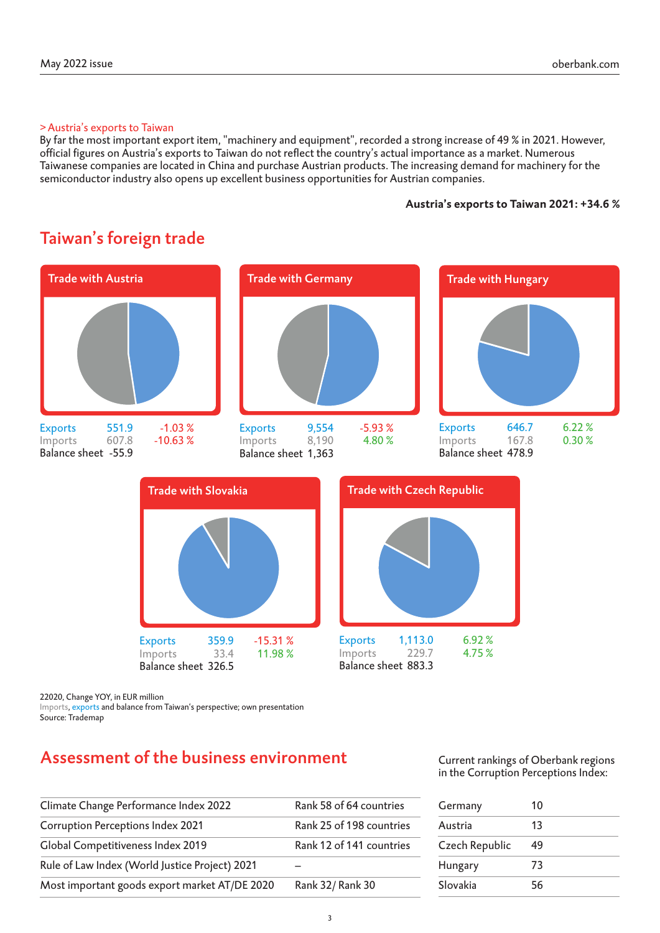#### >Austria's exports to Taiwan

By far the most important export item, "machinery and equipment", recorded a strong increase of 49 % in 2021. However, official figures on Austria's exports to Taiwan do not reflect the country's actual importance as a market. Numerous Taiwanese companies are located in China and purchase Austrian products. The increasing demand for machinery for the semiconductor industry also opens up excellent business opportunities for Austrian companies.

#### **Austria's exports to Taiwan 2021: +34.6 %**

# Taiwan's foreign trade Trade with Austria Trade With Germany Trade with Trade with Hungary Trade with Slovakia Trade with Czech Republic Exports 9,554 -5.93 % Imports 8,190 4.80 % Balance sheet 1,363 Exports 551.9 -1.03 % Imports 607.8 -10.63 % Balance sheet -55.9 Exports 646.7 6.22 % Imports 167.8 0.30 % Balance sheet 478.9

# Assessment of the business environment

Exports 359.9 -15.31 %<br>Imports 33.4 11.98 %

Imports, exports and balance from Taiwan's perspective; own presentation

Imports 33.4 Balance sheet 326.5

22020, Change YOY, in EUR million

Source: Trademap

Current rankings of Oberbank regions in the Corruption Perceptions Index:

Exports 1,113.0 6.92 %<br>Imports 229.7 4.75 %

 $Imports$  229.7 Balance sheet 883.3

| Germany        | 10 |  |
|----------------|----|--|
| Austria        | 13 |  |
| Czech Republic | 49 |  |
| Hungary        | 73 |  |
| Slovakia       | 56 |  |

| Climate Change Performance Index 2022          | Rank 58 of 64 countries  |
|------------------------------------------------|--------------------------|
| Corruption Perceptions Index 2021              | Rank 25 of 198 countries |
| Global Competitiveness Index 2019              | Rank 12 of 141 countries |
| Rule of Law Index (World Justice Project) 2021 |                          |
| Most important goods export market AT/DE 2020  | Rank 32/ Rank 30         |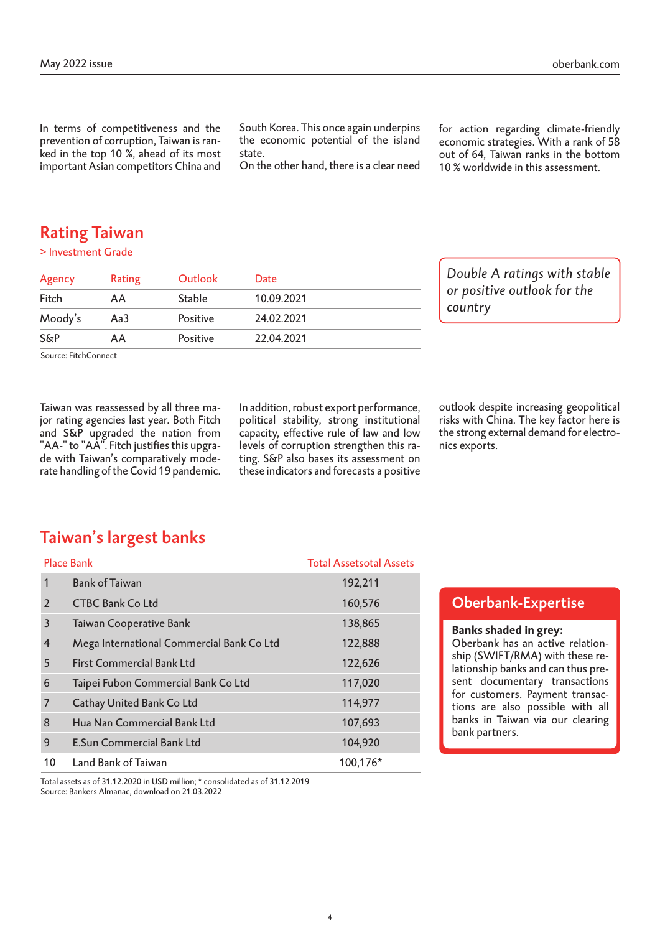In terms of competitiveness and the prevention of corruption, Taiwan is ranked in the top 10 %, ahead of its most important Asian competitors China and South Korea. This once again underpins the economic potential of the island state.

On the other hand, there is a clear need

for action regarding climate-friendly economic strategies. With a rank of 58 out of 64, Taiwan ranks in the bottom 10 % worldwide in this assessment.

### Rating Taiwan

> Investment Grade

| Agency         | Rating | Outlook       | Date       |  |
|----------------|--------|---------------|------------|--|
| Fitch          | AA     | <b>Stable</b> | 10.09.2021 |  |
| Moody's        | Aa3    | Positive      | 24.02.2021 |  |
| <b>S&amp;P</b> | ΑA     | Positive      | 22.04.2021 |  |

*Double A ratings with stable or positive outlook for the country*

Source: FitchConnect

Taiwan was reassessed by all three major rating agencies last year. Both Fitch and S&P upgraded the nation from "AA-" to "AA". Fitch justifies this upgrade with Taiwan's comparatively moderate handling of the Covid 19 pandemic. In addition, robust export performance, political stability, strong institutional capacity, effective rule of law and low levels of corruption strengthen this rating. S&P also bases its assessment on these indicators and forecasts a positive

outlook despite increasing geopolitical risks with China. The key factor here is the strong external demand for electronics exports.

## Taiwan's largest banks

|                | <b>Place Bank</b>                         | <b>Total Assetsotal Assets</b> |
|----------------|-------------------------------------------|--------------------------------|
| 1              | <b>Bank of Taiwan</b>                     | 192,211                        |
| 2              | <b>CTBC Bank Co Ltd</b>                   | 160,576                        |
| 3              | Taiwan Cooperative Bank                   | 138,865                        |
| $\overline{4}$ | Mega International Commercial Bank Co Ltd | 122,888                        |
| 5              | <b>First Commercial Bank Ltd</b>          | 122,626                        |
| 6              | Taipei Fubon Commercial Bank Co Ltd       | 117,020                        |
| 7              | Cathay United Bank Co Ltd                 | 114,977                        |
| 8              | Hua Nan Commercial Bank Ltd               | 107,693                        |
| 9              | <b>E.Sun Commercial Bank Ltd</b>          | 104,920                        |
| 10             | Land Bank of Taiwan                       | 100,176*                       |

Total assets as of 31.12.2020 in USD million; \* consolidated as of 31.12.2019 Source: Bankers Almanac, download on 21.03.2022

#### Oberbank-Expertise

#### **Banks shaded in grey:**

Oberbank has an active relationship (SWIFT/RMA) with these relationship banks and can thus present documentary transactions for customers. Payment transactions are also possible with all banks in Taiwan via our clearing bank partners.